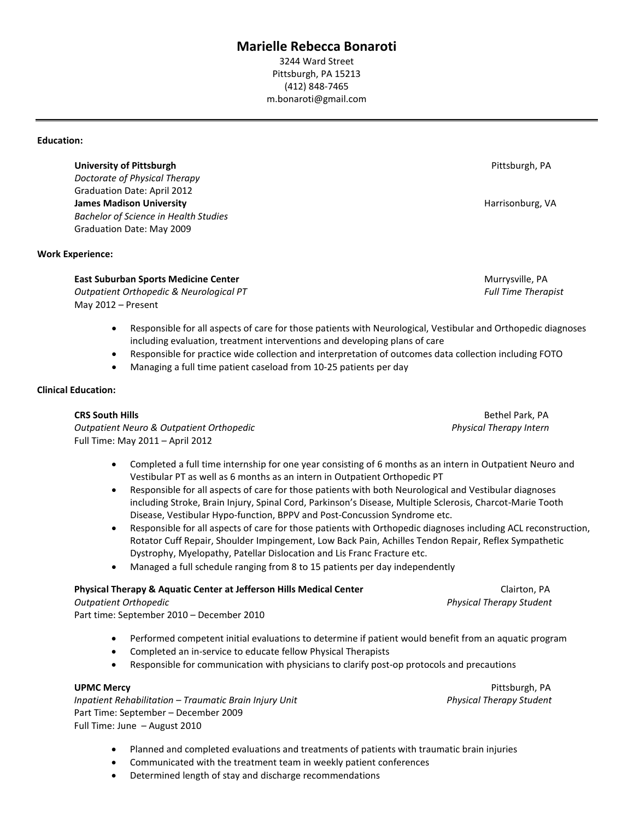# **Marielle Rebecca Bonaroti**

3244 Ward Street Pittsburgh, PA 15213 (412) 848-7465 m.bonaroti@gmail.com

#### **Education:**

**University of Pittsburgh** Pittsburgh, PA

*Doctorate of Physical Therapy* Graduation Date: April 2012 **James Madison University And American Structure of the Contract of American Structure American Structure American Structure American Structure American Structure American Structure American Structure American Structure Am** *Bachelor of Science in Health Studies* Graduation Date: May 2009

# **Work Experience:**

# **East Suburban Sports Medicine Center** Murrysville, PA

*Outpatient Orthopedic & Neurological PT Full Time Therapist* May 2012 – Present

- Responsible for all aspects of care for those patients with Neurological, Vestibular and Orthopedic diagnoses including evaluation, treatment interventions and developing plans of care
- Responsible for practice wide collection and interpretation of outcomes data collection including FOTO
- Managing a full time patient caseload from 10-25 patients per day

# **Clinical Education:**

*Outpatient Neuro & Outpatient Orthopedic Physical Therapy Intern* Full Time: May 2011 – April 2012

- Completed a full time internship for one year consisting of 6 months as an intern in Outpatient Neuro and Vestibular PT as well as 6 months as an intern in Outpatient Orthopedic PT
- Responsible for all aspects of care for those patients with both Neurological and Vestibular diagnoses including Stroke, Brain Injury, Spinal Cord, Parkinson's Disease, Multiple Sclerosis, Charcot-Marie Tooth Disease, Vestibular Hypo-function, BPPV and Post-Concussion Syndrome etc.
- Responsible for all aspects of care for those patients with Orthopedic diagnoses including ACL reconstruction, Rotator Cuff Repair, Shoulder Impingement, Low Back Pain, Achilles Tendon Repair, Reflex Sympathetic Dystrophy, Myelopathy, Patellar Dislocation and Lis Franc Fracture etc.
- Managed a full schedule ranging from 8 to 15 patients per day independently

### **Physical Therapy & Aquatic Center at Jefferson Hills Medical Center** *Clairton, PA* **Clairton, PA**

*Outpatient Orthopedic Physical Therapy Student* Part time: September 2010 – December 2010

- Performed competent initial evaluations to determine if patient would benefit from an aquatic program
- Completed an in-service to educate fellow Physical Therapists
- Responsible for communication with physicians to clarify post-op protocols and precautions

*Inpatient Rehabilitation – Traumatic Brain Injury Unit Physical Therapy Student* Part Time: September – December 2009 Full Time: June – August 2010

**UPMC Mercy Pittsburgh, PA** 

- Planned and completed evaluations and treatments of patients with traumatic brain injuries
- Communicated with the treatment team in weekly patient conferences
- Determined length of stay and discharge recommendations

**CRS South Hills** Bethel Park, PA